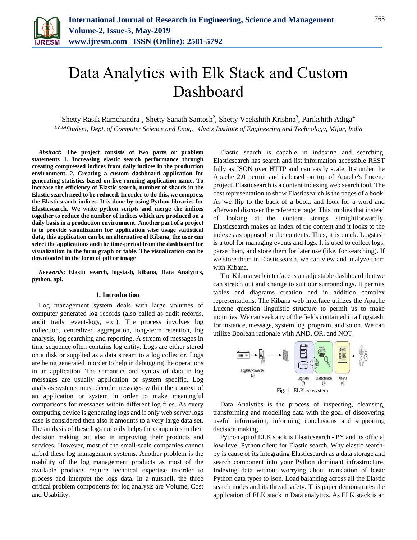

# Data Analytics with Elk Stack and Custom Dashboard

Shetty Rasik Ramchandra<sup>1</sup>, Shetty Sanath Santosh<sup>2</sup>, Shetty Veekshith Krishna<sup>3</sup>, Parikshith Adiga<sup>4</sup> *1,2,3,4Student, Dept. of Computer Science and Engg., Alva's Institute of Engineering and Technology, Mijar, India*

*Abstract***: The project consists of two parts or problem statements 1. Increasing elastic search performance through creating compressed indices from daily indices in the production environment. 2. Creating a custom dashboard application for generating statistics based on live running application name. To increase the efficiency of Elastic search, number of shards in the Elastic search need to be reduced. In order to do this, we compress the Elasticsearch indices. It is done by using Python libraries for Elasticsearch. We write python scripts and merge the indices together to reduce the number of indices which are produced on a daily basis in a production environment. Another part of a project is to provide visualization for application wise usage statistical data, this application can be an alternative of Kibana, the user can select the applications and the time-period from the dashboard for visualization in the form graph or table. The visualization can be downloaded in the form of pdf or image**

*Keywords***: Elastic search, logstash, kibana, Data Analytics, python, api.**

#### **1. Introduction**

Log management system deals with large volumes of computer generated log records (also called as audit records, audit trails, event-logs, etc.). The process involves log collection, centralized aggregation, long-term retention, log analysis, log searching and reporting. A stream of messages in time sequence often contains log entity. Logs are either stored on a disk or supplied as a data stream to a log collector. Logs are being generated in order to help in debugging the operations in an application. The semantics and syntax of data in log messages are usually application or system specific. Log analysis systems must decode messages within the context of an application or system in order to make meaningful comparisons for messages within different log files. As every computing device is generating logs and if only web server logs case is considered then also it amounts to a very large data set. The analysis of these logs not only helps the companies in their decision making but also in improving their products and services. However, most of the small-scale companies cannot afford these log management systems. Another problem is the usability of the log management products as most of the available products require technical expertise in-order to process and interpret the logs data. In a nutshell, the three critical problem components for log analysis are Volume, Cost and Usability.

Elastic search is capable in indexing and searching. Elasticsearch has search and list information accessible REST fully as JSON over HTTP and can easily scale. It's under the Apache 2.0 permit and is based on top of Apache's Lucene project. Elasticsearch is a content indexing web search tool. The best representation to show Elasticsearch is the pages of a book. As we flip to the back of a book, and look for a word and afterward discover the reference page. This implies that instead of looking at the content strings straightforwardly, Elasticsearch makes an index of the content and it looks to the indexes as opposed to the contents. Thus, it is quick. Logstash is a tool for managing events and logs. It is used to collect logs, parse them, and store them for later use (like, for searching). If we store them in Elasticsearch, we can view and analyze them with Kibana.

The Kibana web interface is an adjustable dashboard that we can stretch out and change to suit our surroundings. It permits tables and diagrams creation and in addition complex representations. The Kibana web interface utilizes the Apache Lucene question linguistic structure to permit us to make inquiries. We can seek any of the fields contained in a Logstash, for instance, message, system log\_program, and so on. We can utilize Boolean rationale with AND, OR, and NOT.



Data Analytics is the process of inspecting, cleansing, transforming and modelling data with the goal of discovering useful information, informing conclusions and supporting decision making.

Python api of ELK stack is Elasticsearch - PY and its official low-level Python client for Elastic search. Why elastic searchpy is cause of its Integrating Elasticsearch as a data storage and search component into your Python dominant infrastructure. Indexing data without worrying about translation of basic Python data types to json. Load balancing across all the Elastic search nodes and its thread safety. This paper demonstrates the application of ELK stack in Data analytics. As ELK stack is an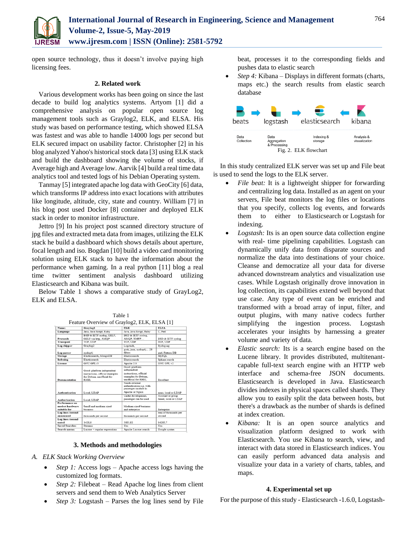

open source technology, thus it doesn't involve paying high licensing fees.

# **2. Related work**

Various development works has been going on since the last decade to build log analytics systems. Artyom [1] did a comprehensive analysis on popular open source log management tools such as Graylog2, ELK, and ELSA. His study was based on performance testing, which showed ELSA was fastest and was able to handle 14000 logs per second but ELK secured impact on usability factor. Christopher [2] in his blog analyzed Yahoo's historical stock data [3] using ELK stack and build the dashboard showing the volume of stocks, if Average high and Average low. Aarvik [4] build a real time data analytics tool and tested logs of his Debian Operating system.

Tanmay [5] integrated apache log data with GeoCity [6] data, which transforms IP address into exact locations with attributes like longitude, altitude, city, state and country. William [7] in his blog post used Docker [8] container and deployed ELK stack in order to monitor infrastructure.

Jettro [9] In his project post scanned directory structure of jpg files and extracted meta data from images, utilizing the ELK stack he build a dashboard which shows details about aperture, focal length and iso. Bogdan [10] build a video card monitoring solution using ELK stack to have the information about the performance when gaming. In a real python [11] blog a real time twitter sentiment analysis dashboard utilizing Elasticsearch and Kibana was built.

Below Table 1 shows a comparative study of GrayLog2, ELK and ELSA.

| Table 1                    |  |  |
|----------------------------|--|--|
| $m$ iam af Casulas $2\,$ E |  |  |

| Name:                                             | Gravlog2                                                                                                   | <b>ELK</b>                                                                                             | <b>ELSA</b>                              |
|---------------------------------------------------|------------------------------------------------------------------------------------------------------------|--------------------------------------------------------------------------------------------------------|------------------------------------------|
| Language                                          | Java, Java Script, Ruby                                                                                    | Java, Java Script, Ruby                                                                                | C. Perl                                  |
| <b>Protocols</b>                                  | BSD & IETF syslog, GELF.<br>GELF via http. AMOP                                                            | <b>BSD &amp; IETF</b> syslog.<br>AMOP. XMPP                                                            | <b>BSD &amp; IETF</b> syslog             |
| <b>Transport</b>                                  | TCP, UDP                                                                                                   | TCP, UDP                                                                                               | TCP. UDP                                 |
| Log shipper                                       | Graylog2                                                                                                   | Logstash,                                                                                              | Syslog-ng                                |
| Log parser                                        | syslog4i                                                                                                   | grok, json, syslog4j 28<br>filters                                                                     | perl, Pattern DB                         |
| Storage                                           | Elasticsearch, MongoDB                                                                                     | Elasticsearch                                                                                          | <b>MySOL</b>                             |
| Indexing                                          | Elasticsearch                                                                                              | Elasticsearch                                                                                          | Sphinx search                            |
| License                                           | <b>GNU GPLv3</b>                                                                                           | Apache 2.0                                                                                             | <b>GNU GPL v2</b>                        |
| <b>Documentation</b>                              | Good: platform independent<br>instructions, official examples<br>for Debian, unofficial for<br><b>RHEL</b> | Good: platform<br>independent<br>instructions, official<br>examples for Debian.<br>unofficial for RHEL | Excellent                                |
| Authentication                                    | Local LDAP                                                                                                 | Needs external<br>authentication e.g. with<br>passenger module in<br>Apache or Ngnix                   | none, local or LDAP                      |
| <b>Authorization</b>                              | Local, LDAP                                                                                                | Under development.<br>passenger can be used                                                            | Account or group<br>based, local or LDAP |
| Performance on<br>modest hardware<br>suitable for | Small and medium sized<br>business                                                                         | Medium sized business<br>and enterprise                                                                | Enterprise                               |
| Log lines /second<br>announced                    | thousands per second                                                                                       | thousands per second                                                                                   | tens of thousands per<br>second          |
| Log lines /second<br>tested                       | 1428.6                                                                                                     | 5681.82                                                                                                | 14285,7                                  |
| <b>Saved Searches</b>                             | Streams                                                                                                    | Yes                                                                                                    | Yes                                      |
| <b>Controlled Services</b>                        | Toronto il provincia compressione                                                                          | America Formance accordio                                                                              | Constantinopelli                         |

## **3. Methods and methodologies**

- *A. ELK Stack Working Overview*
	- *Step 1:* Access logs Apache access logs having the customized log formats.
	- *Step 2:* Filebeat Read Apache log lines from client servers and send them to Web Analytics Server
	- *Step 3:* Logstash Parses the log lines send by File

beat, processes it to the corresponding fields and pushes data to elastic search

 *Step 4:* Kibana – Displays in different formats (charts, maps etc.) the search results from elastic search database



In this study centralized ELK server was set up and File beat is used to send the logs to the ELK server.

- *File beat:* It is a lightweight shipper for forwarding and centralizing log data. Installed as an agent on your servers, File beat monitors the log files or locations that you specify, collects log events, and forwards them to either to Elasticsearch or Logstash for indexing.
- *Logstash:* Its is an open source data collection engine with real- time pipelining capabilities. Logstash can dynamically unify data from disparate sources and normalize the data into destinations of your choice. Cleanse and democratize all your data for diverse advanced downstream analytics and visualization use cases. While Logstash originally drove innovation in log collection, its capabilities extend well beyond that use case. Any type of event can be enriched and transformed with a broad array of input, filter, and output plugins, with many native codecs further simplifying the ingestion process. Logstash accelerates your insights by harnessing a greater volume and variety of data.
- *Elastic search:* Its is a search engine based on the Lucene library. It provides distributed, multitenantcapable full-text search engine with an HTTP web interface and schema-free JSON documents. Elasticsearch is developed in Java. Elasticsearch divides indexes in physical spaces called shards. They allow you to easily split the data between hosts, but there's a drawback as the number of shards is defined at index creation.
- *Kibana:* It is an open source analytics and visualization platform designed to work with Elasticsearch. You use Kibana to search, view, and interact with data stored in Elasticsearch indices. You can easily perform advanced data analysis and visualize your data in a variety of charts, tables, and maps.

#### **4. Experimental set up**

For the purpose of this study - Elasticsearch -1.6.0, Logstash-